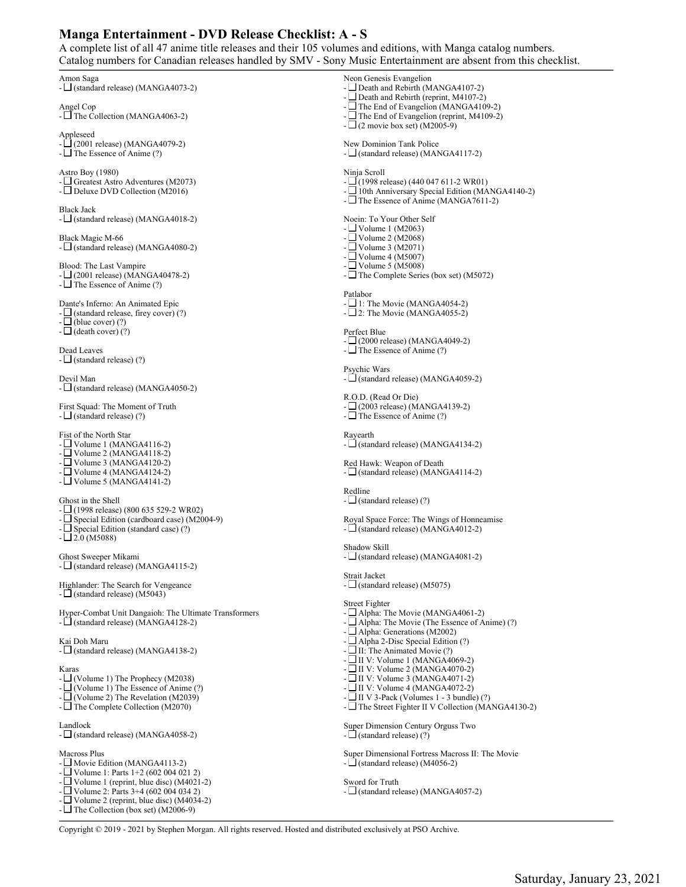## **Manga Entertainment - DVD Release Checklist: A - S**

A complete list of all 47 anime title releases and their 105 volumes and editions, with Manga catalog numbers. Catalog numbers for Canadian releases handled by SMV - Sony Music Entertainment are absent from this checklist.

Amon Saga - (standard release) (MANGA4073-2) Angel Cop - The Collection (MANGA4063-2) Appleseed  $\Box$  (2001 release) (MANGA4079-2)  $-\Box$  The Essence of Anime (?) Astro Boy (1980) - Greatest Astro Adventures (M2073) - Deluxe DVD Collection (M2016) Black Jack  $-\Box$  (standard release) (MANGA4018-2) Black Magic M-66  $-\Box$  (standard release) (MANGA4080-2) Blood: The Last Vampire  $-\Box$  (2001 release) (MANGA40478-2) -  $\Box$  The Essence of Anime (?) Dante's Inferno: An Animated Epic  $-\Box$  (standard release, firey cover) (?)  $-\Box$ (blue cover) (?)  $-\Box$  (death cover) (?) Dead Leaves  $-\Box$  (standard release) (?) Devil Man  $-\Box$  (standard release) (MANGA4050-2) First Squad: The Moment of Truth  $-\Box$  (standard release) (?) Fist of the North Star - Volume 1 (MANGA4116-2) - Volume 2 (MANGA4118-2) - Volume 3 (MANGA4120-2) -  $\Box$  Volume 4 (MANGA4124-2) -  $\Box$  Volume 5 (MANGA4141-2) Ghost in the Shell - (1998 release) (800 635 529-2 WR02) - Special Edition (cardboard case) (M2004-9)  $-\Box$  Special Edition (standard case) (?)  $- \Box 2.0$  (M5088) Ghost Sweeper Mikami - (standard release) (MANGA4115-2) Highlander: The Search for Vengeance  $-\Box$  (standard release) (M5043) Hyper-Combat Unit Dangaioh: The Ultimate Transformers -  $\Box$  (standard release) (MANGA4128-2) Kai Doh Maru  $-\Box$  (standard release) (MANGA4138-2) Karas - (Volume 1) The Prophecy (M2038)  $- \Box$  (Volume 1) The Essence of Anime (?) -  $\Box$  (Volume 2) The Revelation (M2039) -  $\Box$  The Complete Collection (M2070) Landlock  $-\Box$  (standard release) (MANGA4058-2) Macross Plus - Movie Edition (MANGA4113-2) - Volume 1: Parts 1+2 (602 004 021 2) - Volume 1 (reprint, blue disc) (M4021-2) - Volume 2: Parts 3+4 (602 004 034 2) - Volume 2 (reprint, blue disc) (M4034-2) -  $\Box$  The Collection (box set) (M2006-9) Neon Genesis Evangelion - Death and Rebirth (MANGA4107-2) -  $\Box$  Death and Rebirth (reprint, M4107-2) - The End of Evangelion (MANGA4109-2) The End of Evangelion (reprint, M4109-2)  $-L$  (2 movie box set) (M2005-9) New Dominion Tank Police  $-\Box$  (standard release) (MANGA4117-2) Ninja Scroll  $-\square$ (1998 release) (440 047 611-2 WR01) - 10th Anniversary Special Edition (MANGA4140-2) - The Essence of Anime (MANGA7611-2) Noein: To Your Other Self  $-$  Volume 1 (M2063) - Volume 2 (M2068) - Volume 3 (M2071)  $-L$  Volume 4 (M5007) - Volume 5 (M5008) -  $\Box$  The Complete Series (box set) (M5072) Patlabor  $-$  1: The Movie (MANGA4054-2)  $- \square$  2: The Movie (MANGA4055-2) Perfect Blue - (2000 release) (MANGA4049-2)  $-\Box$  The Essence of Anime (?) Psychic Wars  $-\vec{L}$  (standard release) (MANGA4059-2) R.O.D. (Read Or Die) - (2003 release) (MANGA4139-2)  $-\Box$  The Essence of Anime (?) Rayearth -  $\overrightarrow{L}$  (standard release) (MANGA4134-2) Red Hawk: Weapon of Death  $-\Box$  (standard release) (MANGA4114-2) Redline  $-\Box$  (standard release) (?) Royal Space Force: The Wings of Honneamise -  $\Box$  (standard release) (MANGA4012-2) Shadow Skill  $-\Box$  (standard release) (MANGA4081-2) Strait Jacket -  $\Box$  (standard release) (M5075) Street Fighter -  $\Box$  Alpha: The Movie (MANGA4061-2) Alpha: The Movie (The Essence of Anime) (?) - Alpha: Generations (M2002) - Alpha 2-Disc Special Edition (?)  $-\Box$  II: The Animated Movie (?)  $-$  II V: Volume 1 (MANGA4069-2) - II V: Volume 2 (MANGA4070-2) - II V: Volume 3 (MANGA4071-2)  $-$  II V: Volume 4 (MANGA4072-2)  $- \Box$  II V 3-Pack (Volumes 1 - 3 bundle) (?) -  $\Box$  The Street Fighter II V Collection (MANGA4130-2) Super Dimension Century Orguss Two  $-\Box$  (standard release) (?) Super Dimensional Fortress Macross II: The Movie -  $\Box$  (standard release) (M4056-2) Sword for Truth  $-\Box$  (standard release) (MANGA4057-2) Copyright © 2019 - 2021 by Stephen Morgan. All rights reserved. Hosted and distributed exclusively at PSO Archive.

Saturday, January 23, 2021